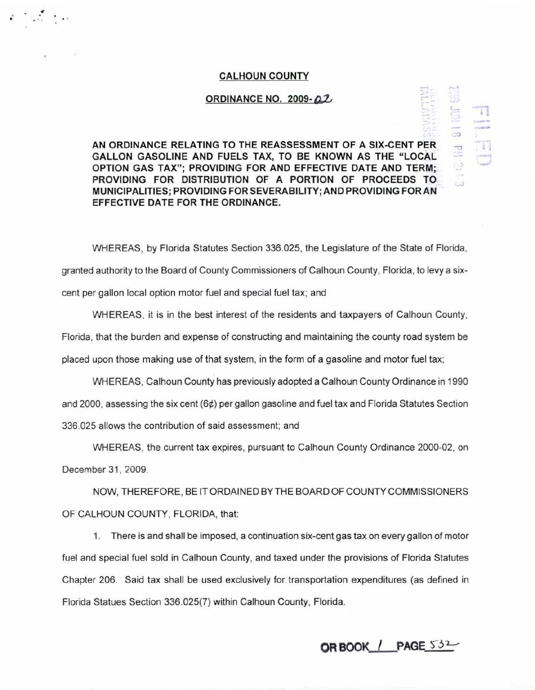## **CALHOUN COUNTY**

 $\mathcal{E} = \{ \mathbf{v}_1, \mathbf{v}_2, \ldots, \mathbf{v}_N \}$  and

## **ORDINANCE NO. 2009- 42,**

**AN ORDINANCE RELATING TO THE REASSESSMENT OF A SIX-CENT PER GALLON GASOLINE AND FUELS TAX, TO BE KNOWN AS THE "LOCAL OPTION GAS TAX": PROVIDING FOR AND EFFECTIVE DATE AND TERM: PROVIDING FOR DISTRIBUTION OF A PORTION OF PROCEEDS TO MUNICIPALITIES; PROVIDING FOR SEVERABILITY; AND PROVIDING FOR AN EFFECTIVE DATE FOR THE ORDINANCE.** 

WHEREAS, by Florida Statutes Section 336.025, the Legislature of the State of Florida, granted authority to the Board of County Commissioners of Calhoun County, Florida, to levy a sixcent per gallon local option motor fuel and special fuel tax; and

WHEREAS, it is in the best interest of the residents and taxpayers of Calhoun County, Florida, that the burden and expense of constructing and maintaining the county road system be placed upon those making use of that system, in the form of a gasoline and motor fuel tax;

WHEREAS, Calhoun County has previously adopted a Calhoun County Ordinance in 1990 and 2000, assessing the six cent (6¢) per gallon gasoline and fuel tax and Florida Statutes Section 336.025 allows the contribution of said assessment; and

WHEREAS, the current tax expires, pursuant to Calhoun County Ordinance 2000-02, on December 31 , 2009.

NOW, THEREFORE, BE IT ORDAINED BY THE BOARD OF COUNTY COMMISSIONERS OF CALHOUN COUNTY, FLORIDA, that:

1. There is and shall be imposed, a continuation six-cent gas tax on every gallon of motor fuel and special fuel sold in Calhoun County, and taxed under the provisions of Florida Statutes Chapter 206. Said tax shall be used exclusively for transportation expenditures (as defined in Florida Statues Section 336.025(7) within Calhoun County, Florida.

**ORBOOK / PAGE 532** 

,.....,

-.:

 $\frac{1}{2}$ 

j . *..J* 

) *-j*  .

*.\_.)*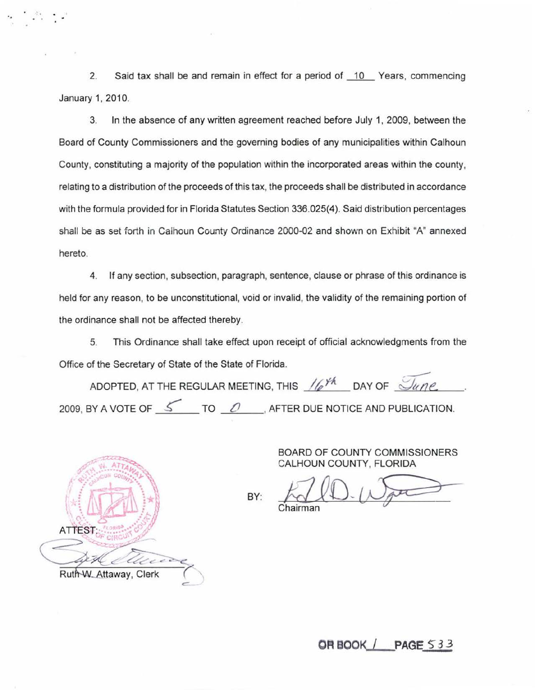2. Said tax shall be and remain in effect for a period of 10 Years, commencing January 1, 2010.

3. In the absence of any written agreement reached before July 1, 2009, between the Board of County Commissioners and the governing bodies of any municipalities within Calhoun County, constituting a majority of the population within the incorporated areas within the county, relating to a distribution of the proceeds of this tax, the proceeds shall be distributed in accordance with the formula provided for in Florida Statutes Section 336.025(4). Said distribution percentages shall be as set forth in Calhoun County Ordinance 2000-02 and shown on Exhibit "A" annexed hereto.

4. If any section, subsection, paragraph, sentence, clause or phrase of this ordinance is held for any reason, to be unconstitutional, void or invalid, the validity of the remaining portion of the ordinance shall not be affected thereby.

5. This Ordinance shall take effect upon receipt of official acknowledgments from the Office of the Secretary of State of the State of Florida.

ADOPTED, AT THE REGULAR MEETING, THIS 16<sup>yh</sup> DAY OF *June*. 2009, BY A VOTE OF <u>5</u> TO <u>0</u>, AFTER DUE NOTICE AND PUBLICATION.

BY:



..

BOARD OF COUNTY COMMISSIONERS CALHOUN COUNTY, FLORIDA

**OR BOOK / PAGE 533**